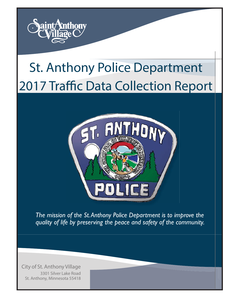

# St. Anthony Police Department 2017 Traffic Data Collection Report



*The mission of the St. Anthony Police Department is to improve the quality of life by preserving the peace and safety of the community.*

City of St. Anthony Village 3301 Silver Lake Road St. Anthony, Minnesota 55418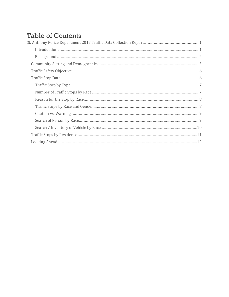# **Table of Contents**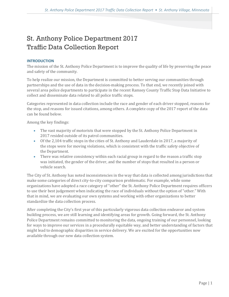## <span id="page-2-0"></span>St. Anthony Police Department 2017 Traffic Data Collection Report

## <span id="page-2-1"></span>**INTRODUCTION**

The mission of the St. Anthony Police Department is to improve the quality of life by preserving the peace and safety of the community.

To help realize our mission, the Department is committed to better serving our communities through partnerships and the use of data in the decision-making process. To that end, we recently joined with several area police departments to participate in the recent Ramsey County Traffic Stop Data Initiative to collect and disseminate data related to all police traffic stops.

Categories represented in data collection include the race and gender of each driver stopped, reasons for the stop, and reasons for issued citations, among others. A complete copy of the 2017 report of the data can be found below.

Among the key findings:

- The vast majority of motorists that were stopped by the St. Anthony Police Department in 2017 resided outside of its patrol communities.
- Of the 2,104 traffic stops in the cities of St. Anthony and Lauderdale in 2017, a majority of the stops were for moving violations, which is consistent with the traffic safety objective of the Department.
- There was relative consistency within each racial group in regard to the reason a traffic stop was initiated, the gender of the driver, and the number of stops that resulted in a person or vehicle search.

The City of St. Anthony has noted inconsistencies in the way that data is collected among jurisdictions that make some categories of direct city-to-city comparison problematic. For example, while some organizations have adopted a race category of "other" the St. Anthony Police Department requires officers to use their best judgement when indicating the race of individuals without the option of "other." With that in mind, we are evaluating our own systems and working with other organizations to better standardize the data collection process.

After completing the City's first year of this particularly vigorous data collection endeavor and system building process, we are still learning and identifying areas for growth. Going forward, the St. Anthony Police Department remains committed to monitoring the data, ongoing training of our personnel, looking for ways to improve our services in a procedurally equitable way, and better understanding of factors that might lead to demographic disparities in service delivery. We are excited for the opportunities now available through our new data collection system.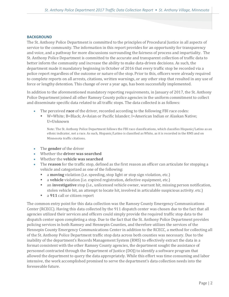## <span id="page-3-0"></span>**BACKGROUND**

The St. Anthony Police Department is committed to the principles of Procedural Justice in all aspects of service to the community. The information in this report provides for an opportunity for transparency and voice, and a pathway for more discussions surrounding the fairness of process and impartiality. The St. Anthony Police Department is committed to the accurate and transparent collection of traffic data to better inform the community and increase the ability to make data-driven decisions. As such, the department made it mandatory beginning in October of 2016 that every traffic stop be recorded via a police report regardless of the outcome or nature of the stop. Prior to this, officers were already required to complete reports on all arrests, citations, written warnings, or any other stop that resulted in any use of force or lengthy detention. This change of over a year ago, has been successfully implemented.

In addition to the aforementioned mandatory reporting requirements, in January of 2017, the St. Anthony Police Department joined all other Ramsey County police agencies in the uniform commitment to collect and disseminate specific data related to all traffic stops. The data collected is as follows:

- The perceived **race** of the driver, recorded according to the following FBI race codes:
	- W=White; B=Black; A=Asian or Pacific Islander; I=American Indian or Alaskan Native; U=Unknown

Note: The St. Anthony Police Department follows the FBI race classifications, which classifies Hispanic/Latino as an ethnic indicator, not a race. As such, Hispanic/Latino is classified as White, as it is recorded in the RMS and on Minnesota traffic citations.

- The **gender** of the driver
- Whether the **driver was searched**
- Whether the **vehicle was searched**
- The **reason** for the traffic stop, defined as the first reason an officer can articulate for stopping a vehicle and categorized as one of the following:
	- **a moving** violation (i.e. speeding, stop light or stop sign violation, etc.)
	- a **vehicle** violation (i.e. expired registration, defective equipment, etc.)
	- an **investigative** stop (i.e., unlicensed vehicle owner, warrant hit, missing person notification, stolen vehicle hit, an attempt to locate hit, involved in articulable suspicious activity. etc.)
	- a **911** call or citizen report

The common entry point for this data collection was the Ramsey County Emergency Communications Center (RCECC). Having this data collected by the 911 dispatch center was chosen due to the fact that all agencies utilized their services and officers could simply provide the required traffic stop data to the dispatch center upon completing a stop. Due to the fact that the St. Anthony Police Department provides policing services in both Ramsey and Hennepin Counties, and therefore utilizes the services of the Hennepin County Emergency Communications Center in addition to the RCECC, a method for collecting all of the St. Anthony Police Department traffic stop data across both counties was necessary. Due to the inability of the department's Records Management System (RMS) to effectively extract the data in a format consistent with the other Ramsey County agencies, the department sought the assistance of personnel contracted through the Department of Justice (DOJ) to identify a software program that allowed the department to query the data appropriately. While this effort was time consuming and labor intensive, the work accomplished promised to serve the department's data collection needs into the foreseeable future.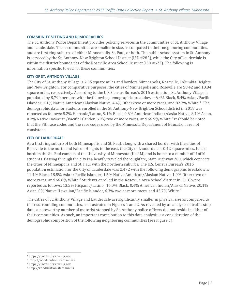## <span id="page-4-0"></span>**COMMUNITY SETTING AND DEMOGRAPHICS**

The St. Anthony Police Department provides policing services in the communities of St. Anthony Village and Lauderdale. These communities are smaller in size, as compared to their neighboring communities, and are first ring suburbs of either Minneapolis, St. Paul, or both. The public school system in St. Anthony is serviced by the St. Anthony-New Brighton School District (ISD #282), while the City of Lauderdale is within the district boundaries of the Roseville Area School District (ISD #623). The following is information specific to each of these communities:

#### **CITY OF ST. ANTHONY VILLAGE**

The City of St. Anthony Village is 2.35 square miles and borders Minneapolis, Roseville, Columbia Heights, and New Brighton. For comparative purposes, the cities of Minneapolis and Roseville are 58.42 and 13.84 square miles, respectively. According to the U.S. Census Bureau's 2016 estimation, St. Anthony Village is populated by 8,790 persons with the following demographic breakdown: 6.4% Black, 5.4% Asian/Pacific Islander,  $1.1\%$  $1.1\%$  Native American/Alaskan Native,  $4.4\%$  Other/two or more races, and  $82.7\%$  White. $^1$  The demographic data for students enrolled in the St. Anthony-New Brighton School district in 2018 was reported as follows: 8.2% Hispanic/Latino, 9.1% Black, 0.6% American Indian/Alaska Native, 8.1% Asian, 0.2% Native Hawaiian/Pacific Islander, 6.9% two or more races, and 66.9% White. [2](#page-4-2) It should be noted that the FBI race codes and the race codes used by the Minnesota Department of Education are not consistent.

## **CITY OF LAUDERDALE**

As a first ring suburb of both Minneapolis and St. Paul, along with a shared border with the cities of Roseville to the north and Falcon Heights to the east, the City of Lauderdale is 0.42 square miles. It also borders the St. Paul campus of the University of Minnesota (U of M) and is home to a number of U of M students. Passing through the city is a heavily traveled thoroughfare, State Highway 280, which connects the cities of Minneapolis and St. Paul with the northern suburbs. The U.S. Census Bureau's 2016 population estimation for the City of Lauderdale was 2,472 with the following demographic breakdown: 11.4% Black, 18.5% Asian/Pacific Islander, 1.5% Native American/Alaskan Native, 1.9% Other/two or more races, and 66.6% White.<sup>[3](#page-4-3)</sup> Students enrolled in the Roseville Area School district in 2018 were reported as follows: 13.5% Hispanic/Latino, 16.0% Black, 0.4% American Indian/Alaska Native, 20.1% Asian, 0% Native Hawaiian/Pacific Islander, 6.3% two or more races, and 43.7% White. [4](#page-4-4)

The Cities of St. Anthony Village and Lauderdale are significantly smaller in physical size as compared to their surrounding communities, as illustrated in Figures 1 and 2. As revealed by an analysis of traffic stop data, a noteworthy number of motorist stopped by St. Anthony police officers did not reside in either of their communities. As such, an important contribution to this data analysis is a consideration of the demographic composition of the following neighboring communities (see Figure 3):

<span id="page-4-1"></span> <sup>1</sup> https://factfinder.census.gov

<span id="page-4-2"></span><sup>2</sup> http://rc.education.state.mn.us

<span id="page-4-3"></span><sup>3</sup> https://factfinder.census.gov

<span id="page-4-4"></span><sup>4</sup> http://rc.education.state.mn.us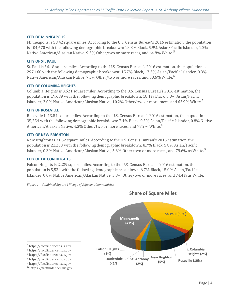## **CITY OF MINNEAPOLIS**

Minneapolis is 58.42 square miles. According to the U.S. Census Bureau's 2016 estimation, the population is 404,670 with the following demographic breakdown: 18.8% Black, 5.9% Asian/Pacific Islander, 1.2% Native American/Alaskan Native, 9.3% Other/two or more races, and 64.8% White.<sup>[5](#page-5-0)</sup>

## **CITY OF ST. PAUL**

St. Paul is 56.18 square miles. According to the U.S. Census Bureau's 2016 estimation, the population is 297,160 with the following demographic breakdown: 15.7% Black, 17.3% Asian/Pacific Islander, 0.8% Native American/Alaskan Native, 7.5% Other/two or more races, and 58.[6](#page-5-1)% White.<sup>6</sup>

## **CITY OF COLUMBIA HEIGHTS**

Columbia Heights is 3.521 square miles. According to the U.S. Census Bureau's 2016 estimation, the population is 19,689 with the following demographic breakdown: 18.1% Black, 5.8% Asian/Pacific Islander, 2.0% Native American/Alaskan Native, 10.2% Other/two or more races, and 63.9% White.[7](#page-5-2)

## **CITY OF ROSEVILLE**

Roseville is 13.84 square miles. According to the U.S. Census Bureau's 2016 estimation, the population is 35,254 with the following demographic breakdown: 7.4% Black, 9.3% Asian/Pacific Islander, 0.8% Native American/Alaskan Native, 4.3% Other/two or more races, and 78.2% White.**[8](#page-5-3)**

## **CITY OF NEW BRIGHTON**

New Brighton is 7.062 square miles. According to the U.S. Census Bureau's 2016 estimation, the population is 22,233 with the following demographic breakdown: 8.7% Black, 5.8% Asian/Pacific Islander, 0.3% Native American/Alaskan Native, 5.6% Other/two or more races, and 7[9](#page-5-4).6% as White.<sup>9</sup>

## **CITY OF FALCON HEIGHTS**

Falcon Heights is 2.239 square miles. According to the U.S. Census Bureau's 2016 estimation, the population is 5,534 with the following demographic breakdown: 6.7% Black, 15.0% Asian/Pacific Islander, 0.0% Native American/Alaskan Native, 3.8% Other/two or more races, and 74.4% as White.[10](#page-5-5)



<span id="page-5-5"></span><span id="page-5-4"></span><span id="page-5-3"></span><span id="page-5-2"></span><span id="page-5-1"></span><span id="page-5-0"></span>

## **Share of Square Miles**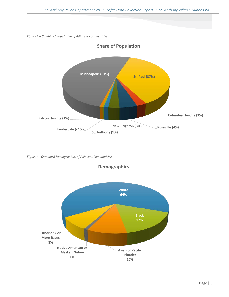*Figure 2 – Combined Population of Adjacent Communities*



**Share of Population**

*Figure 3 - Combined Demographics of Adjacent Communities*



**Demographics**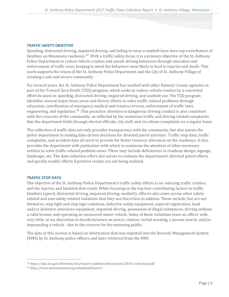## <span id="page-7-0"></span>**TRAFFIC SAFETY OBJECTIVE**

Speeding, distracted driving, impaired driving, and failing to wear a seatbelt have been top contributors of fatalities on Minnesota roadways.**[11](#page-7-2)** With a traffic safety focus, it is a primary objective of the St. Anthony Police Department to reduce vehicle crashes and unsafe driving behaviors through education and enforcement of traffic laws, keeping in mind the behaviors most likely to lead to injuries and death. This work supports the vision of the St. Anthony Police Department and the City of St. Anthony Village of creating a safe and secure community.

For several years, the St. Anthony Police Department has worked with other Ramsey County agencies as part of the Toward Zero Death (TZD) program, which seeks to reduce vehicle crashes by a concerted effort focused on speeding, distracted driving, impaired driving, and seatbelt use. The TZD program identifies several major focus areas and directs efforts to solve traffic related problems through education, coordination of emergency medical and trauma services, enforcement of traffic laws, engineering, and legislation.**[12](#page-7-3)** This proactive attention to dangerous driving conduct is also consistent with the concerns of the community, as reflected by the numerous traffic and driving related complaints that the department fields through elected officials, city staff, and via citizen complaints on a regular basis.

The collection of traffic data not only provides transparency with the community, but also assists the police department in making data-driven decisions for directed patrol activities. Traffic stop data, traffic complaints, and accident data all serve to provide for better resource allocation on the roadways. It also provides the department with particulars with which to summons the attention of other necessary entities to solve traffic-related problem areas. These may include deficiencies in roadway design, signage, landscape, etc. The data collection effort also serves to evaluate the department's directed patrol efforts and quickly modify efforts if positive results are not being realized.

## <span id="page-7-1"></span>**TRAFFIC STOP DATA**

The objective of the St. Anthony Police Department's traffic safety efforts is on reducing traffic crashes, and the injuries and fatalities that result. While focusing on the top four contributing factors to traffic fatalities (speed, distracted driving, impaired driving, seatbelt), officers also come across other safety related and non-safety related violations that they use discretion to address. These include, but are not limited to, stop light and stop sign violations, defective safety equipment, expired registration, loud and/or defective emissions equipment, impaired driving, possession of illegal substances, driving without a valid license, and operating an uninsured motor vehicle. Some of these violations leave an officer with very little, or no, discretion to decide between an arrest, citation, verbal warning, a person search, and/or impounding a vehicle –due to the concern for the motoring public.

The data in this section is based on information that was inputted into the Records Management System (RMS) by St. Anthony police officers and later retrieved from the RMS.

<span id="page-7-2"></span> <sup>11</sup> https://dps.mn.gov/divisions/ots/reports-statistics/Documents/2015-crash-facts.pdf

<span id="page-7-3"></span><sup>12</sup> http://www.minnesotatzd.org/whatistzd/foures/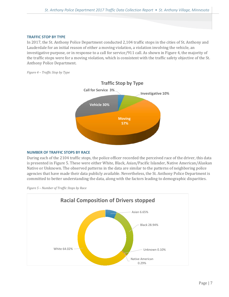## <span id="page-8-0"></span>**TRAFFIC STOP BY TYPE**

In 2017, the St. Anthony Police Department conducted 2,104 traffic stops in the cities of St. Anthony and Lauderdale for an initial reason of either a moving violation, a violation involving the vehicle, an investigative purpose, or in response to a call for service/911 call. As shown in Figure 4, the majority of the traffic stops were for a moving violation, which is consistent with the traffic safety objective of the St. Anthony Police Department.

*Figure 4 – Traffic Stop by Type*



## <span id="page-8-1"></span>**NUMBER OF TRAFFIC STOPS BY RACE**

During each of the 2104 traffic stops, the police officer recorded the perceived race of the driver, this data is presented in Figure 5. These were either White, Black, Asian/Pacific Islander, Native American/Alaskan Native or Unknown. The observed patterns in the data are similar to the patterns of neighboring police agencies that have made their data publicly available. Nevertheless, the St. Anthony Police Department is committed to better understanding the data, along with the factors leading to demographic disparities.



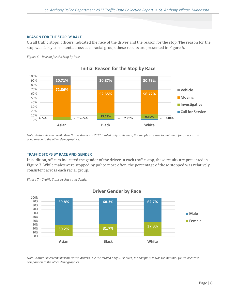## <span id="page-9-0"></span>**REASON FOR THE STOP BY RACE**

On all traffic stops, officers indicated the race of the driver and the reason for the stop. The reason for the stop was fairly consistent across each racial group, these results are presented in Figure 6.





*Note: Native American/Alaskan Native drivers in 2017 totaled only 9. As such, the sample size was too minimal for an accurate comparison to the other demographics.*

## <span id="page-9-1"></span>**TRAFFIC STOPS BY RACE AND GENDER**

In addition, officers indicated the gender of the driver in each traffic stop, these results are presented in Figure 7. While males were stopped by police more often, the percentage of those stopped was relatively consistent across each racial group.





**Driver Gender by Race**

*Note: Native American/Alaskan Native drivers in 2017 totaled only 9. As such, the sample size was too minimal for an accurate comparison to the other demographics.*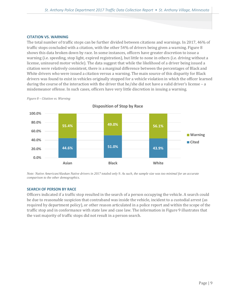## <span id="page-10-0"></span>**CITATION VS. WARNING**

The total number of traffic stops can be further divided between citations and warnings. In 2017, 46% of traffic stops concluded with a citation, with the other 54% of drivers being given a warning. Figure 8 shows this data broken down by race. In some instances, officers have greater discretion to issue a warning (i.e. speeding, stop light, expired registration), but little to none in others (i.e. driving without a license, uninsured motor vehicle). The data suggest that while the likelihood of a driver being issued a citation were relatively consistent, there is a marginal difference between the percentages of Black and White drivers who were issued a citation versus a warning. The main source of this disparity for Black drivers was found to exist in vehicles originally stopped for a vehicle violation in which the officer learned during the course of the interaction with the driver that he/she did not have a valid driver's license – a misdemeanor offense. In such cases, officers have very little discretion in issuing a warning.



*Figure 8 – Citation vs. Warning*

**Disposition of Stop by Race**

*Note: Native American/Alaskan Native drivers in 2017 totaled only 9. As such, the sample size was too minimal for an accurate comparison to the other demographics.*

## <span id="page-10-1"></span>**SEARCH OF PERSON BY RACE**

Officers indicated if a traffic stop resulted in the search of a person occupying the vehicle. A search could be due to reasonable suspicion that contraband was inside the vehicle, incident to a custodial arrest (as required by department policy), or other reason articulated in a police report and within the scope of the traffic stop and in conformance with state law and case law. The information in Figure 9 illustrates that the vast majority of traffic stops did not result in a person search.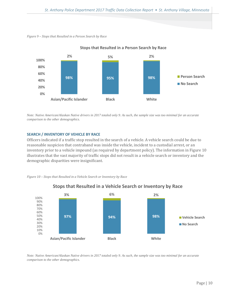*Figure 9 – Stops that Resulted in a Person Search by Race*



**Stops that Resulted in a Person Search by Race**

*Note: Native American/Alaskan Native drivers in 2017 totaled only 9. As such, the sample size was too minimal for an accurate comparison to the other demographics.*

## <span id="page-11-0"></span>**SEARCH / INVENTORY OF VEHICLE BY RACE**

Officers indicated if a traffic stop resulted in the search of a vehicle. A vehicle search could be due to reasonable suspicion that contraband was inside the vehicle, incident to a custodial arrest, or an inventory prior to a vehicle impound (as required by department policy). The information in Figure 10 illustrates that the vast majority of traffic stops did not result in a vehicle search or inventory and the demographic disparities were insignificant.

*Figure 10 – Stops that Resulted in a Vehicle Search or Inventory by Race*



## **Stops that Resulted in a Vehicle Search or Inventory by Race**

*Note: Native American/Alaskan Native drivers in 2017 totaled only 9. As such, the sample size was too minimal for an accurate comparison to the other demographics.*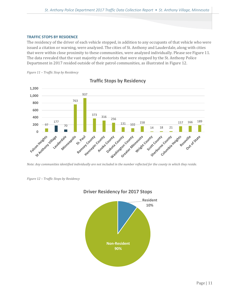## <span id="page-12-0"></span>**TRAFFIC STOPS BY RESIDENCE**

The residency of the driver of each vehicle stopped, in addition to any occupants of that vehicle who were issued a citation or warning, were analyzed. The cities of St. Anthony and Lauderdale, along with cities that were within close proximity to these communities, were analyzed individually. Please see Figure 11. The data revealed that the vast majority of motorists that were stopped by the St. Anthony Police Department in 2017 resided outside of their patrol communities, as illustrated in Figure 12.





**Traffic Stops by Residency**